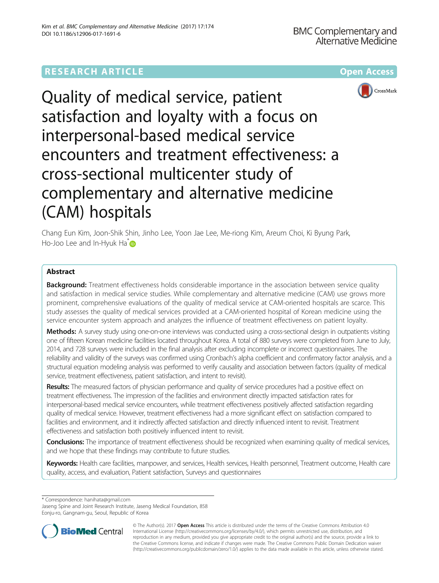# **RESEARCH ARTICLE Example 2014 12:30 The Community Community Community Community Community Community Community**





Quality of medical service, patient satisfaction and loyalty with a focus on interpersonal-based medical service encounters and treatment effectiveness: a cross-sectional multicenter study of complementary and alternative medicine (CAM) hospitals

Chang Eun Kim, Joon-Shik Shin, Jinho Lee, Yoon Jae Lee, Me-riong Kim, Areum Choi, Ki Byung Park, Ho-Joo Lee and In-Hyuk Ha **D** 

# Abstract

Background: Treatment effectiveness holds considerable importance in the association between service quality and satisfaction in medical service studies. While complementary and alternative medicine (CAM) use grows more prominent, comprehensive evaluations of the quality of medical service at CAM-oriented hospitals are scarce. This study assesses the quality of medical services provided at a CAM-oriented hospital of Korean medicine using the service encounter system approach and analyzes the influence of treatment effectiveness on patient loyalty.

Methods: A survey study using one-on-one interviews was conducted using a cross-sectional design in outpatients visiting one of fifteen Korean medicine facilities located throughout Korea. A total of 880 surveys were completed from June to July, 2014, and 728 surveys were included in the final analysis after excluding incomplete or incorrect questionnaires. The reliability and validity of the surveys was confirmed using Cronbach's alpha coefficient and confirmatory factor analysis, and a structural equation modeling analysis was performed to verify causality and association between factors (quality of medical service, treatment effectiveness, patient satisfaction, and intent to revisit).

Results: The measured factors of physician performance and quality of service procedures had a positive effect on treatment effectiveness. The impression of the facilities and environment directly impacted satisfaction rates for interpersonal-based medical service encounters, while treatment effectiveness positively affected satisfaction regarding quality of medical service. However, treatment effectiveness had a more significant effect on satisfaction compared to facilities and environment, and it indirectly affected satisfaction and directly influenced intent to revisit. Treatment effectiveness and satisfaction both positively influenced intent to revisit.

Conclusions: The importance of treatment effectiveness should be recognized when examining quality of medical services, and we hope that these findings may contribute to future studies.

Keywords: Health care facilities, manpower, and services, Health services, Health personnel, Treatment outcome, Health care quality, access, and evaluation, Patient satisfaction, Surveys and questionnaires

\* Correspondence: [hanihata@gmail.com](mailto:hanihata@gmail.com)

Jaseng Spine and Joint Research Institute, Jaseng Medical Foundation, 858 Eonju-ro, Gangnam-gu, Seoul, Republic of Korea



© The Author(s). 2017 **Open Access** This article is distributed under the terms of the Creative Commons Attribution 4.0 International License [\(http://creativecommons.org/licenses/by/4.0/](http://creativecommons.org/licenses/by/4.0/)), which permits unrestricted use, distribution, and reproduction in any medium, provided you give appropriate credit to the original author(s) and the source, provide a link to the Creative Commons license, and indicate if changes were made. The Creative Commons Public Domain Dedication waiver [\(http://creativecommons.org/publicdomain/zero/1.0/](http://creativecommons.org/publicdomain/zero/1.0/)) applies to the data made available in this article, unless otherwise stated.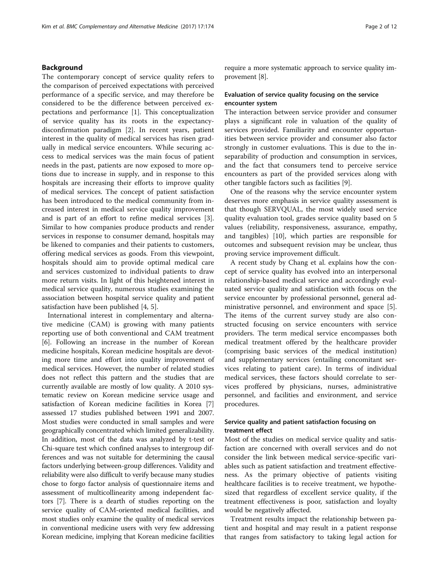## Background

The contemporary concept of service quality refers to the comparison of perceived expectations with perceived performance of a specific service, and may therefore be considered to be the difference between perceived expectations and performance [\[1](#page-10-0)]. This conceptualization of service quality has its roots in the expectancydisconfirmation paradigm [\[2](#page-10-0)]. In recent years, patient interest in the quality of medical services has risen gradually in medical service encounters. While securing access to medical services was the main focus of patient needs in the past, patients are now exposed to more options due to increase in supply, and in response to this hospitals are increasing their efforts to improve quality of medical services. The concept of patient satisfaction has been introduced to the medical community from increased interest in medical service quality improvement and is part of an effort to refine medical services [\[3](#page-10-0)]. Similar to how companies produce products and render services in response to consumer demand, hospitals may be likened to companies and their patients to customers, offering medical services as goods. From this viewpoint, hospitals should aim to provide optimal medical care and services customized to individual patients to draw more return visits. In light of this heightened interest in medical service quality, numerous studies examining the association between hospital service quality and patient satisfaction have been published [[4](#page-10-0), [5](#page-10-0)].

International interest in complementary and alternative medicine (CAM) is growing with many patients reporting use of both conventional and CAM treatment [[6\]](#page-10-0). Following an increase in the number of Korean medicine hospitals, Korean medicine hospitals are devoting more time and effort into quality improvement of medical services. However, the number of related studies does not reflect this pattern and the studies that are currently available are mostly of low quality. A 2010 systematic review on Korean medicine service usage and satisfaction of Korean medicine facilities in Korea [[7](#page-10-0)] assessed 17 studies published between 1991 and 2007. Most studies were conducted in small samples and were geographically concentrated which limited generalizability. In addition, most of the data was analyzed by t-test or Chi-square test which confined analyses to intergroup differences and was not suitable for determining the causal factors underlying between-group differences. Validity and reliability were also difficult to verify because many studies chose to forgo factor analysis of questionnaire items and assessment of multicollinearity among independent factors [\[7](#page-10-0)]. There is a dearth of studies reporting on the service quality of CAM-oriented medical facilities, and most studies only examine the quality of medical services in conventional medicine users with very few addressing Korean medicine, implying that Korean medicine facilities

require a more systematic approach to service quality improvement [[8\]](#page-10-0).

## Evaluation of service quality focusing on the service encounter system

The interaction between service provider and consumer plays a significant role in valuation of the quality of services provided. Familiarity and encounter opportunities between service provider and consumer also factor strongly in customer evaluations. This is due to the inseparability of production and consumption in services, and the fact that consumers tend to perceive service encounters as part of the provided services along with other tangible factors such as facilities [\[9](#page-10-0)].

One of the reasons why the service encounter system deserves more emphasis in service quality assessment is that though SERVQUAL, the most widely used service quality evaluation tool, grades service quality based on 5 values (reliability, responsiveness, assurance, empathy, and tangibles) [\[10](#page-10-0)], which parties are responsible for outcomes and subsequent revision may be unclear, thus proving service improvement difficult.

A recent study by Chang et al. explains how the concept of service quality has evolved into an interpersonal relationship-based medical service and accordingly evaluated service quality and satisfaction with focus on the service encounter by professional personnel, general administrative personnel, and environment and space [\[5](#page-10-0)]. The items of the current survey study are also constructed focusing on service encounters with service providers. The term medical service encompasses both medical treatment offered by the healthcare provider (comprising basic services of the medical institution) and supplementary services (entailing concomitant services relating to patient care). In terms of individual medical services, these factors should correlate to services proffered by physicians, nurses, administrative personnel, and facilities and environment, and service procedures.

## Service quality and patient satisfaction focusing on treatment effect

Most of the studies on medical service quality and satisfaction are concerned with overall services and do not consider the link between medical service-specific variables such as patient satisfaction and treatment effectiveness. As the primary objective of patients visiting healthcare facilities is to receive treatment, we hypothesized that regardless of excellent service quality, if the treatment effectiveness is poor, satisfaction and loyalty would be negatively affected.

Treatment results impact the relationship between patient and hospital and may result in a patient response that ranges from satisfactory to taking legal action for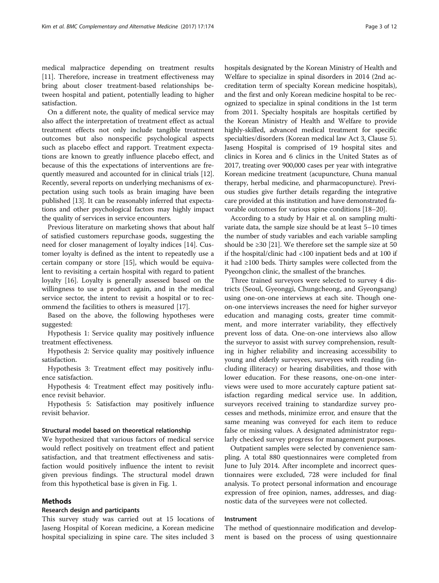medical malpractice depending on treatment results [[11\]](#page-10-0). Therefore, increase in treatment effectiveness may bring about closer treatment-based relationships between hospital and patient, potentially leading to higher satisfaction.

On a different note, the quality of medical service may also affect the interpretation of treatment effect as actual treatment effects not only include tangible treatment outcomes but also nonspecific psychological aspects such as placebo effect and rapport. Treatment expectations are known to greatly influence placebo effect, and because of this the expectations of interventions are frequently measured and accounted for in clinical trials [[12](#page-10-0)]. Recently, several reports on underlying mechanisms of expectation using such tools as brain imaging have been published [\[13](#page-10-0)]. It can be reasonably inferred that expectations and other psychological factors may highly impact the quality of services in service encounters.

Previous literature on marketing shows that about half of satisfied customers repurchase goods, suggesting the need for closer management of loyalty indices [[14\]](#page-10-0). Customer loyalty is defined as the intent to repeatedly use a certain company or store [\[15\]](#page-10-0), which would be equivalent to revisiting a certain hospital with regard to patient loyalty [[16\]](#page-10-0). Loyalty is generally assessed based on the willingness to use a product again, and in the medical service sector, the intent to revisit a hospital or to recommend the facilities to others is measured [[17](#page-10-0)].

Based on the above, the following hypotheses were suggested:

Hypothesis 1: Service quality may positively influence treatment effectiveness.

Hypothesis 2: Service quality may positively influence satisfaction.

Hypothesis 3: Treatment effect may positively influence satisfaction.

Hypothesis 4: Treatment effect may positively influence revisit behavior.

Hypothesis 5: Satisfaction may positively influence revisit behavior.

## Structural model based on theoretical relationship

We hypothesized that various factors of medical service would reflect positively on treatment effect and patient satisfaction, and that treatment effectiveness and satisfaction would positively influence the intent to revisit given previous findings. The structural model drawn from this hypothetical base is given in Fig. [1.](#page-3-0)

## Methods

## Research design and participants

This survey study was carried out at 15 locations of Jaseng Hospital of Korean medicine, a Korean medicine hospital specializing in spine care. The sites included 3

hospitals designated by the Korean Ministry of Health and Welfare to specialize in spinal disorders in 2014 (2nd accreditation term of specialty Korean medicine hospitals), and the first and only Korean medicine hospital to be recognized to specialize in spinal conditions in the 1st term from 2011. Specialty hospitals are hospitals certified by the Korean Ministry of Health and Welfare to provide highly-skilled, advanced medical treatment for specific specialties/disorders (Korean medical law Act 3, Clause 5). Jaseng Hospital is comprised of 19 hospital sites and clinics in Korea and 6 clinics in the United States as of 2017, treating over 900,000 cases per year with integrative Korean medicine treatment (acupuncture, Chuna manual therapy, herbal medicine, and pharmacopuncture). Previous studies give further details regarding the integrative care provided at this institution and have demonstrated favorable outcomes for various spine conditions [[18](#page-10-0)–[20\]](#page-10-0).

According to a study by Hair et al. on sampling multivariate data, the sample size should be at least 5–10 times the number of study variables and each variable sampling should be  $\geq$  30 [\[21](#page-10-0)]. We therefore set the sample size at 50 if the hospital/clinic had <100 inpatient beds and at 100 if it had ≥100 beds. Thirty samples were collected from the Pyeongchon clinic, the smallest of the branches.

Three trained surveyors were selected to survey 4 districts (Seoul, Gyeonggi, Chungcheong, and Gyeongsang) using one-on-one interviews at each site. Though oneon-one interviews increases the need for higher surveyor education and managing costs, greater time commitment, and more interrater variability, they effectively prevent loss of data. One-on-one interviews also allow the surveyor to assist with survey comprehension, resulting in higher reliability and increasing accessibility to young and elderly surveyees, surveyees with reading (including illiteracy) or hearing disabilities, and those with lower education. For these reasons, one-on-one interviews were used to more accurately capture patient satisfaction regarding medical service use. In addition, surveyors received training to standardize survey processes and methods, minimize error, and ensure that the same meaning was conveyed for each item to reduce false or missing values. A designated administrator regularly checked survey progress for management purposes.

Outpatient samples were selected by convenience sampling. A total 880 questionnaires were completed from June to July 2014. After incomplete and incorrect questionnaires were excluded, 728 were included for final analysis. To protect personal information and encourage expression of free opinion, names, addresses, and diagnostic data of the surveyees were not collected.

## Instrument

The method of questionnaire modification and development is based on the process of using questionnaire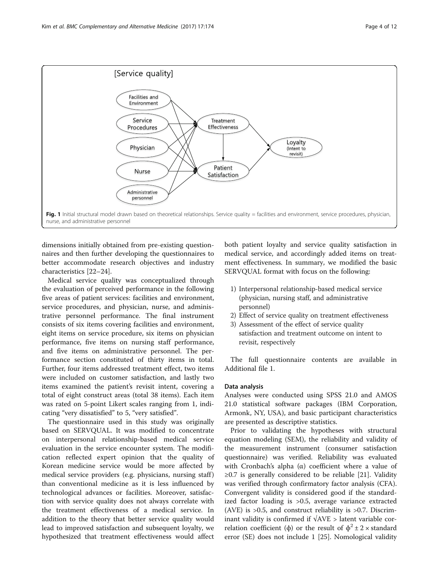<span id="page-3-0"></span>

dimensions initially obtained from pre-existing questionnaires and then further developing the questionnaires to better accommodate research objectives and industry characteristics [[22](#page-10-0)–[24](#page-10-0)].

Medical service quality was conceptualized through the evaluation of perceived performance in the following five areas of patient services: facilities and environment, service procedures, and physician, nurse, and administrative personnel performance. The final instrument consists of six items covering facilities and environment, eight items on service procedure, six items on physician performance, five items on nursing staff performance, and five items on administrative personnel. The performance section constituted of thirty items in total. Further, four items addressed treatment effect, two items were included on customer satisfaction, and lastly two items examined the patient's revisit intent, covering a total of eight construct areas (total 38 items). Each item was rated on 5-point Likert scales ranging from 1, indicating "very dissatisfied" to 5, "very satisfied".

The questionnaire used in this study was originally based on SERVQUAL. It was modified to concentrate on interpersonal relationship-based medical service evaluation in the service encounter system. The modification reflected expert opinion that the quality of Korean medicine service would be more affected by medical service providers (e.g. physicians, nursing staff) than conventional medicine as it is less influenced by technological advances or facilities. Moreover, satisfaction with service quality does not always correlate with the treatment effectiveness of a medical service. In addition to the theory that better service quality would lead to improved satisfaction and subsequent loyalty, we hypothesized that treatment effectiveness would affect

both patient loyalty and service quality satisfaction in medical service, and accordingly added items on treatment effectiveness. In summary, we modified the basic SERVQUAL format with focus on the following:

- 1) Interpersonal relationship-based medical service (physician, nursing staff, and administrative personnel)
- 2) Effect of service quality on treatment effectiveness
- 3) Assessment of the effect of service quality satisfaction and treatment outcome on intent to revisit, respectively

The full questionnaire contents are available in Additional file [1](#page-9-0).

## Data analysis

Analyses were conducted using SPSS 21.0 and AMOS 21.0 statistical software packages (IBM Corporation, Armonk, NY, USA), and basic participant characteristics are presented as descriptive statistics.

Prior to validating the hypotheses with structural equation modeling (SEM), the reliability and validity of the measurement instrument (consumer satisfaction questionnaire) was verified. Reliability was evaluated with Cronbach's alpha  $(\alpha)$  coefficient where a value of  $≥0.7$  is generally considered to be reliable [\[21](#page-10-0)]. Validity was verified through confirmatory factor analysis (CFA). Convergent validity is considered good if the standardized factor loading is >0.5, average variance extracted (AVE) is >0.5, and construct reliability is >0.7. Discriminant validity is confirmed if  $\sqrt{\text{AVE}} > \text{latent variable cor-}$ relation coefficient ( $\phi$ ) or the result of  $\phi^2 \pm 2 \times$  standard error (SE) does not include 1 [[25](#page-10-0)]. Nomological validity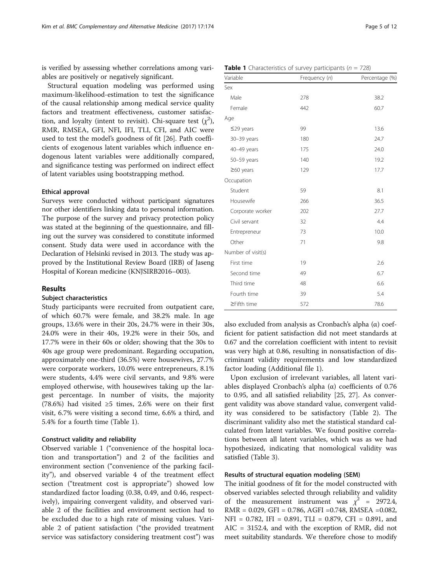is verified by assessing whether correlations among variables are positively or negatively significant.

Structural equation modeling was performed using maximum-likelihood-estimation to test the significance of the causal relationship among medical service quality factors and treatment effectiveness, customer satisfaction, and loyalty (intent to revisit). Chi-square test  $(\chi^2)$ , RMR, RMSEA, GFI, NFI, IFI, TLI, CFI, and AIC were used to test the model's goodness of fit [[26\]](#page-10-0). Path coefficients of exogenous latent variables which influence endogenous latent variables were additionally compared, and significance testing was performed on indirect effect of latent variables using bootstrapping method.

## Ethical approval

Surveys were conducted without participant signatures nor other identifiers linking data to personal information. The purpose of the survey and privacy protection policy was stated at the beginning of the questionnaire, and filling out the survey was considered to constitute informed consent. Study data were used in accordance with the Declaration of Helsinki revised in 2013. The study was approved by the Institutional Review Board (IRB) of Jaseng Hospital of Korean medicine (KNJSIRB2016–003).

## Results

## Subject characteristics

Study participants were recruited from outpatient care, of which 60.7% were female, and 38.2% male. In age groups, 13.6% were in their 20s, 24.7% were in their 30s, 24.0% were in their 40s, 19.2% were in their 50s, and 17.7% were in their 60s or older; showing that the 30s to 40s age group were predominant. Regarding occupation, approximately one-third (36.5%) were housewives, 27.7% were corporate workers, 10.0% were entrepreneurs, 8.1% were students, 4.4% were civil servants, and 9.8% were employed otherwise, with housewives taking up the largest percentage. In number of visits, the majority (78.6%) had visited ≥5 times, 2.6% were on their first visit, 6.7% were visiting a second time, 6.6% a third, and 5.4% for a fourth time (Table 1).

#### Construct validity and reliability

Observed variable 1 ("convenience of the hospital location and transportation") and 2 of the facilities and environment section ("convenience of the parking facility"), and observed variable 4 of the treatment effect section ("treatment cost is appropriate") showed low standardized factor loading (0.38, 0.49, and 0.46, respectively), impairing convergent validity, and observed variable 2 of the facilities and environment section had to be excluded due to a high rate of missing values. Variable 2 of patient satisfaction ("the provided treatment service was satisfactory considering treatment cost") was

| Variable           | Frequency (n) | Percentage (%) |
|--------------------|---------------|----------------|
| Sex                |               |                |
| Male               | 278           | 38.2           |
| Female             | 442           | 60.7           |
| Age                |               |                |
| $\leq$ 29 years    | 99            | 13.6           |
| 30-39 years        | 180           | 24.7           |
| 40-49 years        | 175           | 24.0           |
| 50-59 years        | 140           | 19.2           |
| $\geq$ 60 years    | 129           | 17.7           |
| Occupation         |               |                |
| Student            | 59            | 8.1            |
| Housewife          | 266           | 36.5           |
| Corporate worker   | 202           | 27.7           |
| Civil servant      | 32            | 4.4            |
| Entrepreneur       | 73            | 10.0           |
| Other              | 71            | 9.8            |
| Number of visit(s) |               |                |
| First time         | 19            | 2.6            |
| Second time        | 49            | 6.7            |
| Third time         | 48            | 6.6            |
| Fourth time        | 39            | 5.4            |
| ≥Fifth time        | 572           | 78.6           |

also excluded from analysis as Cronbach's alpha  $(α)$  coefficient for patient satisfaction did not meet standards at 0.67 and the correlation coefficient with intent to revisit was very high at 0.86, resulting in nonsatisfaction of discriminant validity requirements and low standardized factor loading (Additional file [1\)](#page-9-0).

Upon exclusion of irrelevant variables, all latent variables displayed Cronbach's alpha (α) coefficients of 0.76 to 0.95, and all satisfied reliability [[25](#page-10-0), [27\]](#page-10-0). As convergent validity was above standard value, convergent validity was considered to be satisfactory (Table [2\)](#page-5-0). The discriminant validity also met the statistical standard calculated from latent variables. We found positive correlations between all latent variables, which was as we had hypothesized, indicating that nomological validity was satisfied (Table [3\)](#page-6-0).

## Results of structural equation modeling (SEM)

The initial goodness of fit for the model constructed with observed variables selected through reliability and validity of the measurement instrument was  $\chi^2$  = 2972.4, RMR = 0.029, GFI = 0.786, AGFI =0.748, RMSEA =0.082, NFI = 0.782, IFI = 0.891, TLI = 0.879, CFI = 0.891, and AIC = 3152.4, and with the exception of RMR, did not meet suitability standards. We therefore chose to modify

## **Table 1** Characteristics of survey participants ( $n = 728$ )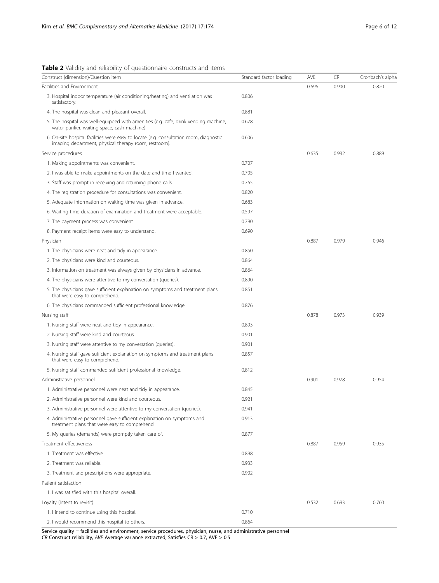<span id="page-5-0"></span>

|  |  |  | Table 2 Validity and reliability of questionnaire constructs and items |  |  |
|--|--|--|------------------------------------------------------------------------|--|--|
|  |  |  |                                                                        |  |  |

| Construct (dimension)/Question item                                                                                                             | Standard factor loading | AVE   | CR    | Cronbach's alpha |
|-------------------------------------------------------------------------------------------------------------------------------------------------|-------------------------|-------|-------|------------------|
| Facilities and Environment                                                                                                                      |                         | 0.696 | 0.900 | 0.820            |
| 3. Hospital indoor temperature (air conditioning/heating) and ventilation was<br>satisfactory.                                                  | 0.806                   |       |       |                  |
| 4. The hospital was clean and pleasant overall.                                                                                                 | 0.881                   |       |       |                  |
| 5. The hospital was well-equipped with amenities (e.g. cafe, drink vending machine,<br>water purifier, waiting space, cash machine).            | 0.678                   |       |       |                  |
| 6. On-site hospital facilities were easy to locate (e.g. consultation room, diagnostic<br>imaging department, physical therapy room, restroom). | 0.606                   |       |       |                  |
| Service procedures                                                                                                                              |                         | 0.635 | 0.932 | 0.889            |
| 1. Making appointments was convenient.                                                                                                          | 0.707                   |       |       |                  |
| 2. I was able to make appointments on the date and time I wanted.                                                                               | 0.705                   |       |       |                  |
| 3. Staff was prompt in receiving and returning phone calls.                                                                                     | 0.765                   |       |       |                  |
| 4. The registration procedure for consultations was convenient.                                                                                 | 0.820                   |       |       |                  |
| 5. Adequate information on waiting time was given in advance.                                                                                   | 0.683                   |       |       |                  |
| 6. Waiting time duration of examination and treatment were acceptable.                                                                          | 0.597                   |       |       |                  |
| 7. The payment process was convenient.                                                                                                          | 0.790                   |       |       |                  |
| 8. Payment receipt items were easy to understand.                                                                                               | 0.690                   |       |       |                  |
| Physician                                                                                                                                       |                         | 0.887 | 0.979 | 0.946            |
| 1. The physicians were neat and tidy in appearance.                                                                                             | 0.850                   |       |       |                  |
| 2. The physicians were kind and courteous.                                                                                                      | 0.864                   |       |       |                  |
| 3. Information on treatment was always given by physicians in advance.                                                                          | 0.864                   |       |       |                  |
| 4. The physicians were attentive to my conversation (queries).                                                                                  | 0.890                   |       |       |                  |
| 5. The physicians gave sufficient explanation on symptoms and treatment plans<br>that were easy to comprehend.                                  | 0.851                   |       |       |                  |
| 6. The physicians commanded sufficient professional knowledge.                                                                                  | 0.876                   |       |       |                  |
| Nursing staff                                                                                                                                   |                         | 0.878 | 0.973 | 0.939            |
| 1. Nursing staff were neat and tidy in appearance.                                                                                              | 0.893                   |       |       |                  |
| 2. Nursing staff were kind and courteous.                                                                                                       | 0.901                   |       |       |                  |
| 3. Nursing staff were attentive to my conversation (queries).                                                                                   | 0.901                   |       |       |                  |
| 4. Nursing staff gave sufficient explanation on symptoms and treatment plans<br>that were easy to comprehend.                                   | 0.857                   |       |       |                  |
| 5. Nursing staff commanded sufficient professional knowledge.                                                                                   | 0.812                   |       |       |                  |
| Administrative personnel                                                                                                                        |                         | 0.901 | 0.978 | 0.954            |
| 1. Administrative personnel were neat and tidy in appearance.                                                                                   | 0.845                   |       |       |                  |
| 2. Administrative personnel were kind and courteous.                                                                                            | 0.921                   |       |       |                  |
| 3. Administrative personnel were attentive to my conversation (queries).                                                                        | 0.941                   |       |       |                  |
| 4. Administrative personnel gave sufficient explanation on symptoms and<br>treatment plans that were easy to comprehend.                        | 0.913                   |       |       |                  |
| 5. My queries (demands) were promptly taken care of.                                                                                            | 0.877                   |       |       |                  |
| Treatment effectiveness                                                                                                                         |                         | 0.887 | 0.959 | 0.935            |
| 1. Treatment was effective.                                                                                                                     | 0.898                   |       |       |                  |
| 2. Treatment was reliable.                                                                                                                      | 0.933                   |       |       |                  |
| 3. Treatment and prescriptions were appropriate.                                                                                                | 0.902                   |       |       |                  |
| Patient satisfaction                                                                                                                            |                         |       |       |                  |
| 1. I was satisfied with this hospital overall.                                                                                                  |                         |       |       |                  |
| Loyalty (Intent to revisit)                                                                                                                     |                         | 0.532 | 0.693 | 0.760            |
| 1. I intend to continue using this hospital.                                                                                                    | 0.710                   |       |       |                  |
| 2. I would recommend this hospital to others.                                                                                                   | 0.864                   |       |       |                  |

Service quality = facilities and environment, service procedures, physician, nurse, and administrative personnel CR Construct reliability, AVE Average variance extracted, Satisfies CR > 0.7, AVE > 0.5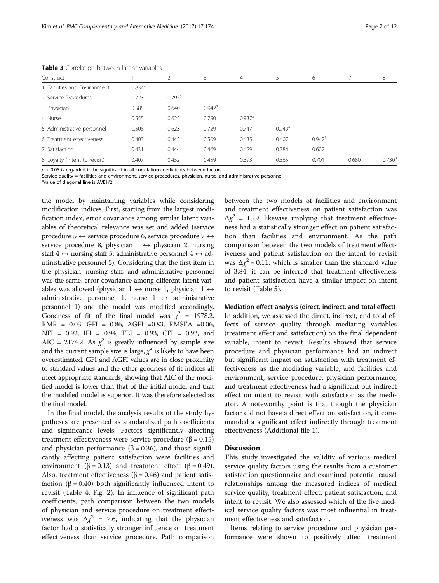| Construct                      |                      |                      | 3                    | 4                    | 5                    | 6                    |       | 8                  |
|--------------------------------|----------------------|----------------------|----------------------|----------------------|----------------------|----------------------|-------|--------------------|
| 1. Facilities and Environment  | $0.834$ <sup>a</sup> |                      |                      |                      |                      |                      |       |                    |
| 2. Service Procedures          | 0.723                | $0.797$ <sup>a</sup> |                      |                      |                      |                      |       |                    |
| 3. Physician                   | 0.585                | 0.640                | $0.942$ <sup>a</sup> |                      |                      |                      |       |                    |
| 4. Nurse                       | 0.555                | 0.625                | 0.790                | $0.937$ <sup>a</sup> |                      |                      |       |                    |
| 5. Administrative personnel    | 0.508                | 0.623                | 0.729                | 0.747                | $0.949$ <sup>a</sup> |                      |       |                    |
| 6. Treatment effectiveness     | 0.403                | 0.445                | 0.509                | 0.435                | 0.407                | $0.942$ <sup>a</sup> |       |                    |
| 7. Satisfaction                | 0.431                | 0.444                | 0.469                | 0.429                | 0.384                | 0.622                |       |                    |
| 8. Loyalty (Intent to revisit) | 0.407                | 0.452                | 0.459                | 0.393                | 0.365                | 0.701                | 0.680 | 0.730 <sup>a</sup> |

<span id="page-6-0"></span>Table 3 Correlation between latent variables

 $p < 0.05$  is regarded to be significant in all correlation coefficients between factors

Service quality = facilities and environment, service procedures, physician, nurse, and administrative personnel

<sup>a</sup>value of diagonal line is AVE1/2

the model by maintaining variables while considering modification indices. First, starting from the largest modification index, error covariance among similar latent variables of theoretical relevance was set and added (service procedure 5  $\leftrightarrow$  service procedure 6, service procedure 7  $\leftrightarrow$ service procedure 8, physician  $1 \leftrightarrow$  physician 2, nursing staff  $4 \leftrightarrow$  nursing staff 5, administrative personnel  $4 \leftrightarrow$  administrative personnel 5). Considering that the first item in the physician, nursing staff, and administrative personnel was the same, error covariance among different latent variables was allowed (physician  $1 \leftrightarrow$  nurse 1, physician  $1 \leftrightarrow$ administrative personnel 1, nurse  $1 \leftrightarrow$  administrative personnel 1) and the model was modified accordingly. Goodness of fit of the final model was  $\chi^2$  = 1978.2, RMR = 0.03, GFI = 0.86, AGFI =0.83, RMSEA =0.06, NFI = 0.92, IFI = 0.94, TLI = 0.93, CFI = 0.93, and AIC = 2174.2. As  $\chi^2$  is greatly influenced by sample size and the current sample size is large,  $\chi^2$  is likely to have been overestimated. GFI and AGFI values are in close proximity to standard values and the other goodness of fit indices all meet appropriate standards, showing that AIC of the modified model is lower than that of the initial model and that the modified model is superior. It was therefore selected as the final model.

In the final model, the analysis results of the study hypotheses are presented as standardized path coefficients and significance levels. Factors significantly affecting treatment effectiveness were service procedure (β = 0.15) and physician performance ( $\beta$  = 0.36), and those significantly affecting patient satisfaction were facilities and environment ( $\beta$  = 0.13) and treatment effect ( $\beta$  = 0.49). Also, treatment effectiveness ( $\beta$  = 0.46) and patient satisfaction (β = 0.40) both significantly influenced intent to revisit (Table [4](#page-7-0), Fig. [2](#page-7-0)). In influence of significant path coefficients, path comparison between the two models of physician and service procedure on treatment effectiveness was  $\Delta \chi^2$  = 7.6, indicating that the physician factor had a statistically stronger influence on treatment effectiveness than service procedure. Path comparison between the two models of facilities and environment and treatment effectiveness on patient satisfaction was  $\Delta \chi^2$  = 15.9, likewise implying that treatment effectiveness had a statistically stronger effect on patient satisfaction than facilities and environment. As the path comparison between the two models of treatment effectiveness and patient satisfaction on the intent to revisit was  $\Delta x^2$  = 0.11, which is smaller than the standard value of 3.84, it can be inferred that treatment effectiveness and patient satisfaction have a similar impact on intent to revisit (Table [5\)](#page-8-0).

## Mediation effect analysis (direct, indirect, and total effect)

In addition, we assessed the direct, indirect, and total effects of service quality through mediating variables (treatment effect and satisfaction) on the final dependent variable, intent to revisit. Results showed that service procedure and physician performance had an indirect but significant impact on satisfaction with treatment effectiveness as the mediating variable, and facilities and environment, service procedure, physician performance, and treatment effectiveness had a significant but indirect effect on intent to revisit with satisfaction as the mediator. A noteworthy point is that though the physician factor did not have a direct effect on satisfaction, it commanded a significant effect indirectly through treatment effectiveness (Additional file [1](#page-9-0)).

## **Discussion**

This study investigated the validity of various medical service quality factors using the results from a customer satisfaction questionnaire and examined potential causal relationships among the measured indices of medical service quality, treatment effect, patient satisfaction, and intent to revisit. We also assessed which of the five medical service quality factors was most influential in treatment effectiveness and satisfaction.

Items relating to service procedure and physician performance were shown to positively affect treatment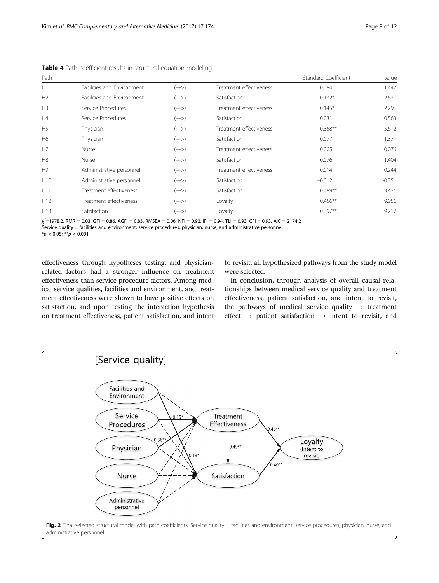| Path            |                                                                 |        |                         | Standard Coefficient | $t$ value |
|-----------------|-----------------------------------------------------------------|--------|-------------------------|----------------------|-----------|
| H1              | Facilities and Environment                                      | $(--)$ | Treatment effectiveness | 0.084                | 1.447     |
| H <sub>2</sub>  | Facilities and Environment                                      | $(--)$ | Satisfaction            | $0.132*$             | 2.631     |
| H <sub>3</sub>  | Service Procedures                                              | $(--)$ | Treatment effectiveness | $0.145*$             | 2.29      |
| H4              | Service Procedures                                              | $(--)$ | Satisfaction            | 0.031                | 0.563     |
| H <sub>5</sub>  | Physician                                                       | $(--)$ | Treatment effectiveness | $0.358**$            | 5.612     |
| H6              | Physician                                                       | $(--)$ | Satisfaction            | 0.077                | 1.37      |
| H7              | Nurse                                                           | $(--)$ | Treatment effectiveness | 0.005                | 0.076     |
| H8              | Nurse                                                           | $(--)$ | Satisfaction            | 0.076                | 1.404     |
| H <sub>9</sub>  | Administrative personnel                                        | $(--)$ | Treatment effectiveness | 0.014                | 0.244     |
| H <sub>10</sub> | Administrative personnel                                        | $(--)$ | Satisfaction            | $-0.012$             | $-0.25$   |
| H <sub>11</sub> | Treatment effectiveness                                         | $(--)$ | Satisfaction            | $0.489**$            | 13.476    |
| H <sub>12</sub> | Treatment effectiveness                                         | $(--)$ | Loyalty                 | $0.456**$            | 9.956     |
| H <sub>13</sub> | Satisfaction<br>$2 - 1 - 1 = 1 - 1 = 1 - 1 = 1 - 1 = 1 - 1 = 1$ | $(--)$ | Loyalty                 | $0.397**$            | 9.217     |

<span id="page-7-0"></span>Table 4 Path coefficient results in structural equation modeling

 $\chi^2$ =1978.2, RMR = 0.03, GFI = 0.86, AGFI = 0.83, RMSEA = 0.06, NFI = 0.92, IFI = 0.94, TLI = 0.93, CFI = 0.93, AIC = 2174.2 Service quality = facilities and environment, service procedures, physician, nurse, and administrative personnel

 $*_{p}$  < 0.05; \*\*p < 0.001

effectiveness through hypotheses testing, and physicianrelated factors had a stronger influence on treatment effectiveness than service procedure factors. Among medical service qualities, facilities and environment, and treatment effectiveness were shown to have positive effects on satisfaction, and upon testing the interaction hypothesis on treatment effectiveness, patient satisfaction, and intent to revisit, all hypothesized pathways from the study model were selected.

In conclusion, through analysis of overall causal relationships between medical service quality and treatment effectiveness, patient satisfaction, and intent to revisit, the pathways of medical service quality  $\rightarrow$  treatment effect  $\rightarrow$  patient satisfaction  $\rightarrow$  intent to revisit, and

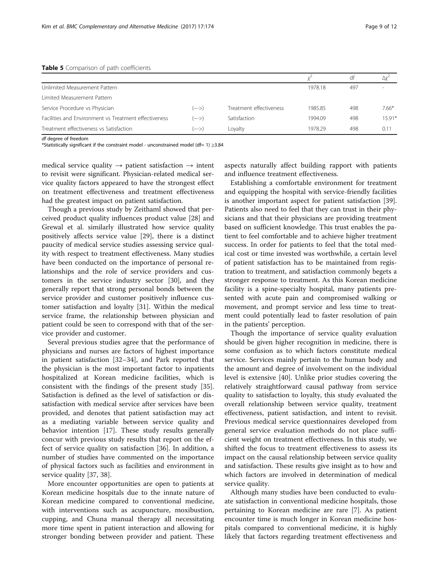<span id="page-8-0"></span>

|                                                       |        |                         |         | df  | Ду      |  |  |  |
|-------------------------------------------------------|--------|-------------------------|---------|-----|---------|--|--|--|
| Unlimited Measurement Pattern                         |        |                         | 1978.18 | 497 |         |  |  |  |
| Limited Measurement Pattern                           |        |                         |         |     |         |  |  |  |
| Service Procedure vs Physician                        | (—–>)  | Treatment effectiveness | 1985.85 | 498 | $7.66*$ |  |  |  |
| Facilities and Environment vs Treatment effectiveness | $(--)$ | Satisfaction            | 1994.09 | 498 | $1591*$ |  |  |  |
| Treatment effectiveness vs Satisfaction               | .—−>'  | Lovalty                 | 1978.29 | 498 | 0.11    |  |  |  |

df degree of freedom

\*Statistically significant if the constraint model - unconstrained model (df= 1) ≥3.84

medical service quality  $\rightarrow$  patient satisfaction  $\rightarrow$  intent to revisit were significant. Physician-related medical service quality factors appeared to have the strongest effect on treatment effectiveness and treatment effectiveness had the greatest impact on patient satisfaction.

Though a previous study by Zeithaml showed that perceived product quality influences product value [\[28](#page-10-0)] and Grewal et al. similarly illustrated how service quality positively affects service value [\[29](#page-10-0)], there is a distinct paucity of medical service studies assessing service quality with respect to treatment effectiveness. Many studies have been conducted on the importance of personal relationships and the role of service providers and customers in the service industry sector [\[30\]](#page-10-0), and they generally report that strong personal bonds between the service provider and customer positively influence customer satisfaction and loyalty [[31\]](#page-10-0). Within the medical service frame, the relationship between physician and patient could be seen to correspond with that of the service provider and customer.

Several previous studies agree that the performance of physicians and nurses are factors of highest importance in patient satisfaction [\[32](#page-10-0)–[34\]](#page-10-0), and Park reported that the physician is the most important factor to inpatients hospitalized at Korean medicine facilities, which is consistent with the findings of the present study [\[35](#page-10-0)]. Satisfaction is defined as the level of satisfaction or dissatisfaction with medical service after services have been provided, and denotes that patient satisfaction may act as a mediating variable between service quality and behavior intention [\[17](#page-10-0)]. These study results generally concur with previous study results that report on the effect of service quality on satisfaction [[36\]](#page-10-0). In addition, a number of studies have commented on the importance of physical factors such as facilities and environment in service quality [\[37](#page-10-0), [38](#page-10-0)].

More encounter opportunities are open to patients at Korean medicine hospitals due to the innate nature of Korean medicine compared to conventional medicine, with interventions such as acupuncture, moxibustion, cupping, and Chuna manual therapy all necessitating more time spent in patient interaction and allowing for stronger bonding between provider and patient. These

aspects naturally affect building rapport with patients and influence treatment effectiveness.

Establishing a comfortable environment for treatment and equipping the hospital with service-friendly facilities is another important aspect for patient satisfaction [\[39](#page-10-0)]. Patients also need to feel that they can trust in their physicians and that their physicians are providing treatment based on sufficient knowledge. This trust enables the patient to feel comfortable and to achieve higher treatment success. In order for patients to feel that the total medical cost or time invested was worthwhile, a certain level of patient satisfaction has to be maintained from registration to treatment, and satisfaction commonly begets a stronger response to treatment. As this Korean medicine facility is a spine-specialty hospital, many patients presented with acute pain and compromised walking or movement, and prompt service and less time to treatment could potentially lead to faster resolution of pain in the patients' perception.

Though the importance of service quality evaluation should be given higher recognition in medicine, there is some confusion as to which factors constitute medical service. Services mainly pertain to the human body and the amount and degree of involvement on the individual level is extensive [\[40](#page-10-0)]. Unlike prior studies covering the relatively straightforward causal pathway from service quality to satisfaction to loyalty, this study evaluated the overall relationship between service quality, treatment effectiveness, patient satisfaction, and intent to revisit. Previous medical service questionnaires developed from general service evaluation methods do not place sufficient weight on treatment effectiveness. In this study, we shifted the focus to treatment effectiveness to assess its impact on the causal relationship between service quality and satisfaction. These results give insight as to how and which factors are involved in determination of medical service quality.

Although many studies have been conducted to evaluate satisfaction in conventional medicine hospitals, those pertaining to Korean medicine are rare [\[7\]](#page-10-0). As patient encounter time is much longer in Korean medicine hospitals compared to conventional medicine, it is highly likely that factors regarding treatment effectiveness and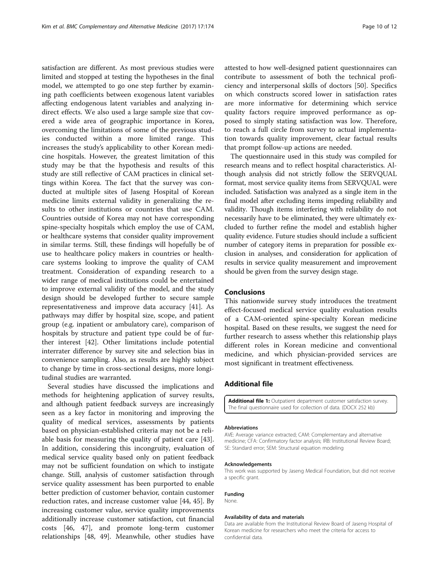<span id="page-9-0"></span>satisfaction are different. As most previous studies were limited and stopped at testing the hypotheses in the final model, we attempted to go one step further by examining path coefficients between exogenous latent variables affecting endogenous latent variables and analyzing indirect effects. We also used a large sample size that covered a wide area of geographic importance in Korea, overcoming the limitations of some of the previous studies conducted within a more limited range. This increases the study's applicability to other Korean medicine hospitals. However, the greatest limitation of this study may be that the hypothesis and results of this study are still reflective of CAM practices in clinical settings within Korea. The fact that the survey was conducted at multiple sites of Jaseng Hospital of Korean medicine limits external validity in generalizing the results to other institutions or countries that use CAM. Countries outside of Korea may not have corresponding spine-specialty hospitals which employ the use of CAM, or healthcare systems that consider quality improvement in similar terms. Still, these findings will hopefully be of use to healthcare policy makers in countries or healthcare systems looking to improve the quality of CAM treatment. Consideration of expanding research to a wider range of medical institutions could be entertained to improve external validity of the model, and the study design should be developed further to secure sample representativeness and improve data accuracy [[41\]](#page-10-0). As pathways may differ by hospital size, scope, and patient group (e.g. inpatient or ambulatory care), comparison of hospitals by structure and patient type could be of further interest [[42](#page-10-0)]. Other limitations include potential interrater difference by survey site and selection bias in convenience sampling. Also, as results are highly subject to change by time in cross-sectional designs, more longitudinal studies are warranted.

Several studies have discussed the implications and methods for heightening application of survey results, and although patient feedback surveys are increasingly seen as a key factor in monitoring and improving the quality of medical services, assessments by patients based on physician-established criteria may not be a reliable basis for measuring the quality of patient care [\[43](#page-10-0)]. In addition, considering this incongruity, evaluation of medical service quality based only on patient feedback may not be sufficient foundation on which to instigate change. Still, analysis of customer satisfaction through service quality assessment has been purported to enable better prediction of customer behavior, contain customer reduction rates, and increase customer value [\[44, 45\]](#page-10-0). By increasing customer value, service quality improvements additionally increase customer satisfaction, cut financial costs [\[46](#page-10-0), [47](#page-11-0)], and promote long-term customer relationships [[48, 49\]](#page-11-0). Meanwhile, other studies have attested to how well-designed patient questionnaires can contribute to assessment of both the technical proficiency and interpersonal skills of doctors [\[50](#page-11-0)]. Specifics on which constructs scored lower in satisfaction rates are more informative for determining which service quality factors require improved performance as opposed to simply stating satisfaction was low. Therefore, to reach a full circle from survey to actual implementation towards quality improvement, clear factual results that prompt follow-up actions are needed.

The questionnaire used in this study was compiled for research means and to reflect hospital characteristics. Although analysis did not strictly follow the SERVQUAL format, most service quality items from SERVQUAL were included. Satisfaction was analyzed as a single item in the final model after excluding items impeding reliability and validity. Though items interfering with reliability do not necessarily have to be eliminated, they were ultimately excluded to further refine the model and establish higher quality evidence. Future studies should include a sufficient number of category items in preparation for possible exclusion in analyses, and consideration for application of results in service quality measurement and improvement should be given from the survey design stage.

## Conclusions

This nationwide survey study introduces the treatment effect-focused medical service quality evaluation results of a CAM-oriented spine-specialty Korean medicine hospital. Based on these results, we suggest the need for further research to assess whether this relationship plays different roles in Korean medicine and conventional medicine, and which physician-provided services are most significant in treatment effectiveness.

## Additional file

[Additional file 1:](dx.doi.org/10.1186/s12906-017-1691-6) Outpatient department customer satisfaction survey. The final questionnaire used for collection of data. (DOCX 252 kb)

#### Abbreviations

AVE: Average variance extracted; CAM: Complementary and alternative medicine; CFA: Confirmatory factor analysis; IRB: Institutional Review Board; SE: Standard error; SEM: Structural equation modeling

#### Acknowledgements

This work was supported by Jaseng Medical Foundation, but did not receive a specific grant.

#### Funding

None.

#### Availability of data and materials

Data are available from the Institutional Review Board of Jaseng Hospital of Korean medicine for researchers who meet the criteria for access to confidential data.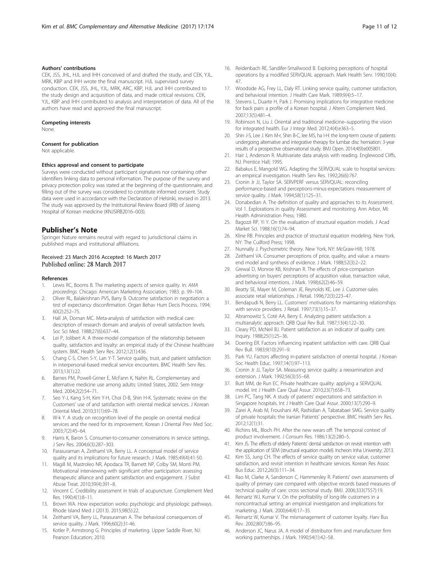## <span id="page-10-0"></span>Authors' contributions

CEK, JSS, JHL, HJL and IHH conceived of and drafted the study, and CEK, YJL, MRK, KBP and IHH wrote the final manuscript. HJL supervised survey conduction. CEK, JSS, JHL, YJL, MRK, ARC, KBP, HJL and IHH contributed to the study design and acquisition of data, and made critical revisions. CEK, YJL, KBP and IHH contributed to analysis and interpretation of data. All of the authors have read and approved the final manuscript.

#### Competing interests

None.

#### Consent for publication

Not applicable.

## Ethics approval and consent to participate

Surveys were conducted without participant signatures nor containing other identifiers linking data to personal information. The purpose of the survey and privacy protection policy was stated at the beginning of the questionnaire, and filling out of the survey was considered to constitute informed consent. Study data were used in accordance with the Declaration of Helsinki, revised in 2013. The study was approved by the Institutional Review Board (IRB) of Jaseng Hospital of Korean medicine (KNJSIRB2016–003).

#### Publisher's Note

Springer Nature remains neutral with regard to jurisdictional claims in published maps and institutional affiliations.

#### Received: 23 March 2016 Accepted: 16 March 2017 Published online: 28 March 2017

#### References

- 1. Lewis RC, Booms B. The marketing aspects of service quality. In: AMA proceedings. Chicago: American Marketing Association; 1983. p. 99–104.
- 2. Oliver RL, Balakrishnan PVS, Barry B. Outcome satisfaction in negotiation: a test of expectancy disconfirmation. Organ Behav Hum Decis Process. 1994; 60(2):252–75.
- 3. Hall JA, Dornan MC. Meta-analysis of satisfaction with medical care: description of research domain and analysis of overall satisfaction levels. Soc Sci Med. 1988;27(6):637–44.
- 4. Lei P, Jolibert A. A three-model comparison of the relationship between quality, satisfaction and loyalty: an empirical study of the Chinese healthcare system. BMC Health Serv Res. 2012;12(1):436.
- 5. Chang C-S, Chen S-Y, Lan Y-T. Service quality, trust, and patient satisfaction in interpersonal-based medical service encounters. BMC Health Serv Res. 2013;13(1):22.
- 6. Barnes PM, Powell-Griner E, McFann K, Nahin RL. Complementary and alternative medicine use among adults: United States, 2002. Sem Integr Med. 2004;2(2):54–71.
- 7. Seo Y-J, Kang S-H, Kim Y-H, Choi D-B, Shin H-K. Systematic review on the Customers' use of and satisfaction with oriental medical services. J Korean Oriental Med. 2010;31(1):69–78.
- W-k Y. A study on recognition level of the people on oriental medical services and the need for its improvement. Korean J Oriental Prev Med Soc. 2003;7(2):45–64.
- 9. Harris K, Baron S. Consumer-to-consumer conversations in service settings. J Serv Res. 2004;6(3):287–303.
- 10. Parasuraman A, Zeithaml VA, Berry LL. A conceptual model of service quality and its implications for future research. J Mark. 1985;49(4):41-50.
- 11. Magill M, Mastroleo NR, Apodaca TR, Barnett NP, Colby SM, Monti PM. Motivational interviewing with significant other participation: assessing therapeutic alliance and patient satisfaction and engagement. J Subst Abuse Treat. 2010;39(4):391–8.
- 12. Vincent C. Credibility assessment in trials of acupuncture. Complement Med Res. 1990;4(1):8–11.
- 13. Brown WA. How expectation works: psychologic and physiologic pathways. Rhode Island Med J (2013). 2015;98(5):22.
- 14. Zeithaml VA, Berry LL, Parasuraman A. The behavioral consequences of service quality. J Mark. 1996;60(2):31-46.
- 15. Kotler P, Armstrong G. Principles of marketing. Upper Saddle River, NJ: Pearson Education; 2010.
- 16. Reidenbach RE, Sandifer-Smallwood B. Exploring perceptions of hospital operations by a modified SERVQUAL approach. Mark Health Serv. 1990;10(4): 47.
- 17. Woodside AG, Frey LL, Daly RT. Linking service quality, customer satisfaction, and behavioral intention. J Health Care Mark. 1989;9(4):5–17.
- 18. Stevens L, Duarte H, Park J. Promising implications for integrative medicine for back pain: a profile of a Korean hospital. J Altern Complement Med. 2007;13(5):481–4.
- 19. Robinson N, Liu J. Oriental and traditional medicine–supporting the vision for integrated health. Eur J Integr Med. 2012;4(4):e363–5.
- 20. Shin J-S, Lee J. Kim M-r, Shin B-C, lee MS, ha I-H: the long-term course of patients undergoing alternative and integrative therapy for lumbar disc herniation: 3-year results of a prospective observational study. BMJ Open. 2014;4(9):e005801.
- 21. Hair J, Anderson R. Multivariate data analysis with reading. Englewood Cliffs, NJ: Prentice Hall; 1995.
- 22. Babakus E, Mangold WG. Adapting the SERVQUAL scale to hospital services: an empirical investigation. Health Serv Res. 1992;26(6):767.
- 23. Cronin Jr JJ, Taylor SA. SERVPERF versus SERVQUAL: reconciling performance-based and perceptions-minus-expectations measurement of service quality. J Mark. 1994;58(1):125–31.
- 24. Donabedian A. The definition of quality and approaches to its Assessment. Vol 1. Explorations in quality Assessment and monitoring. Ann Arbor, MI: Health Administration Press; 1980.
- 25. Bagozzi RP, Yi Y. On the evaluation of structural equation models. J Acad Market Sci. 1988;16(1):74–94.
- 26. Kline RB. Principles and practice of structural equation modeling. New York, NY: The Cuilford Press; 1998.
- 27. Nunnally J. Psychometric theory. New York, NY: McGraw-Hill; 1978.
- 28. Zeithaml VA. Consumer perceptions of price, quality, and value: a meansend model and synthesis of evidence. J Mark. 1988;52(3):2–22.
- 29. Grewal D, Monroe KB, Krishnan R. The effects of price-comparison advertising on buyers' perceptions of acquisition value, transaction value, and behavioral intentions. J Mark. 1998;62(2):46–59.
- 30. Beatty SE, Mayer M, Coleman JE, Reynolds KE, Lee J. Customer-sales associate retail relationships. J Retail. 1996;72(3):223–47.
- 31. Bendapudi N, Berry LL. Customers' motivations for maintaining relationships with service providers. J Retail. 1997;73(1):15–37.
- 32. Abramowitz S, Coté AA, Berry E. Analyzing patient satisfaction: a multianalytic approach. QRB Qual Rev Bull. 1987;13(4):122–30.
- 33. Cleary PD, McNeil BJ. Patient satisfaction as an indicator of quality care. Inquiry. 1988;25(1):25–36.
- 34. Doering ER. Factors influencing inpatient satisfaction with care. QRB Qual Rev Bull. 1983;9(10):291–9.
- 35. Park YU. Factors affecting in-patient satisfaction of oriental hospital. J Korean Soc Health Educ. 1997;14(1):97–113.
- 36. Cronin Jr JJ, Taylor SA. Measuring service quality: a reexamination and extension. J Mark. 1992;56(3):55–68.
- 37. Butt MM, de Run EC. Private healthcare quality: applying a SERVQUAL model. Int J Health Care Qual Assur. 2010;23(7):658–73.
- 38. Lim PC, Tang NK. A study of patients' expectations and satisfaction in Singapore hospitals. Int J Health Care Qual Assur. 2000;13(7):290–9.
- 39. Zarei A, Arab M, Froushani AR, Rashidian A, Tabatabaei SMG. Service quality of private hospitals: the Iranian Patients' perspective. BMC Health Serv Res. 2012;12(1):31.
- 40. Richins ML, Bloch PH. After the new wears off: The temporal context of product involvement. J Consum Res. 1986;13(2):280–5.
- 41. Kim JS. The effects of elderly Patients' dental satisfaction on revisit intention with the application of SEM (structural equation model). Incheon: Inha University; 2013.
- 42. Kim SS, Jung CH. The effects of service quality on service value, customer satisfaction, and revisit intention in healthcare services. Korean Res Assoc Bus Educ. 2012;26(3):111–34.
- 43. Rao M, Clarke A, Sanderson C, Hammersley R. Patients' own assessments of quality of primary care compared with objective records based measures of technical quality of care: cross sectional study. BMJ. 2006;333(7557):19.
- 44. Reinartz WJ, Kumar V. On the profitability of long-life customers in a noncontractual setting: an empirical investigation and implications for marketing. J Mark. 2000;64(4):17–35.
- 45. Reinartz W, Kumar V. The mismanagement of customer loyalty. Harv Bus Rev. 2002;80(7):86–95.
- 46. Anderson JC, Narus JA. A model of distributor firm and manufacturer firm working partnerships. J Mark. 1990;54(1):42–58.